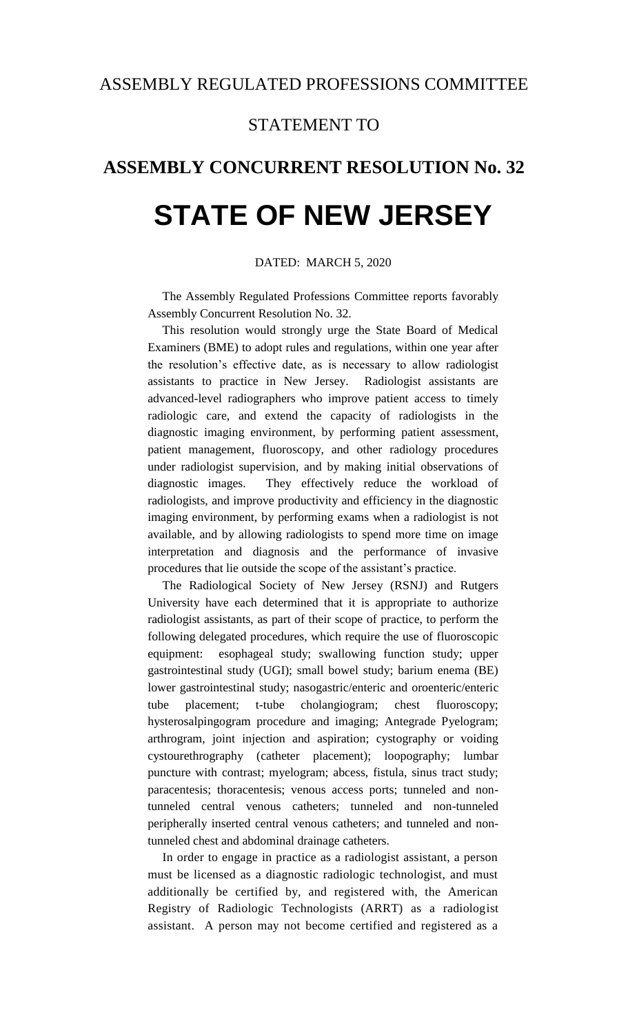## STATEMENT TO

## **ASSEMBLY CONCURRENT RESOLUTION No. 32**

## **STATE OF NEW JERSEY**

## DATED: MARCH 5, 2020

The Assembly Regulated Professions Committee reports favorably Assembly Concurrent Resolution No. 32.

This resolution would strongly urge the State Board of Medical Examiners (BME) to adopt rules and regulations, within one year after the resolution's effective date, as is necessary to allow radiologist assistants to practice in New Jersey. Radiologist assistants are advanced-level radiographers who improve patient access to timely radiologic care, and extend the capacity of radiologists in the diagnostic imaging environment, by performing patient assessment, patient management, fluoroscopy, and other radiology procedures under radiologist supervision, and by making initial observations of diagnostic images. They effectively reduce the workload of radiologists, and improve productivity and efficiency in the diagnostic imaging environment, by performing exams when a radiologist is not available, and by allowing radiologists to spend more time on image interpretation and diagnosis and the performance of invasive procedures that lie outside the scope of the assistant's practice.

The Radiological Society of New Jersey (RSNJ) and Rutgers University have each determined that it is appropriate to authorize radiologist assistants, as part of their scope of practice, to perform the following delegated procedures, which require the use of fluoroscopic equipment: esophageal study; swallowing function study; upper gastrointestinal study (UGI); small bowel study; barium enema (BE) lower gastrointestinal study; nasogastric/enteric and oroenteric/enteric tube placement; t-tube cholangiogram; chest fluoroscopy; hysterosalpingogram procedure and imaging; Antegrade Pyelogram; arthrogram, joint injection and aspiration; cystography or voiding cystourethrography (catheter placement); loopography; lumbar puncture with contrast; myelogram; abcess, fistula, sinus tract study; paracentesis; thoracentesis; venous access ports; tunneled and nontunneled central venous catheters; tunneled and non-tunneled peripherally inserted central venous catheters; and tunneled and nontunneled chest and abdominal drainage catheters.

In order to engage in practice as a radiologist assistant, a person must be licensed as a diagnostic radiologic technologist, and must additionally be certified by, and registered with, the American Registry of Radiologic Technologists (ARRT) as a radiologist assistant. A person may not become certified and registered as a